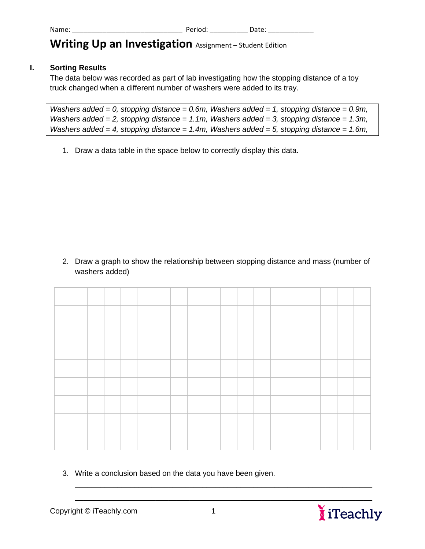## **Writing Up an Investigation** Assignment – Student Edition

## **I. Sorting Results**

The data below was recorded as part of lab investigating how the stopping distance of a toy truck changed when a different number of washers were added to its tray.

```
Washers added = 0, stopping distance = 0.6m, Washers added = 1, stopping distance = 0.9m, 
Washers added = 2, stopping distance = 1.1m, Washers added = 3, stopping distance = 1.3m, 
Washers added = 4, stopping distance = 1.4m, Washers added = 5, stopping distance = 1.6m,
```
1. Draw a data table in the space below to correctly display this data.

2. Draw a graph to show the relationship between stopping distance and mass (number of washers added)

3. Write a conclusion based on the data you have been given.



\_\_\_\_\_\_\_\_\_\_\_\_\_\_\_\_\_\_\_\_\_\_\_\_\_\_\_\_\_\_\_\_\_\_\_\_\_\_\_\_\_\_\_\_\_\_\_\_\_\_\_\_\_\_\_\_\_\_\_\_\_\_\_\_\_\_\_\_\_\_ \_\_\_\_\_\_\_\_\_\_\_\_\_\_\_\_\_\_\_\_\_\_\_\_\_\_\_\_\_\_\_\_\_\_\_\_\_\_\_\_\_\_\_\_\_\_\_\_\_\_\_\_\_\_\_\_\_\_\_\_\_\_\_\_\_\_\_\_\_\_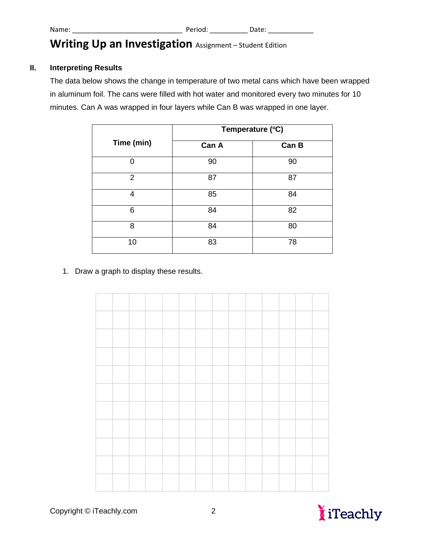## Writing Up an Investigation Assignment – Student Edition

## **II. Interpreting Results**

The data below shows the change in temperature of two metal cans which have been wrapped in aluminum foil. The cans were filled with hot water and monitored every two minutes for 10 minutes. Can A was wrapped in four layers while Can B was wrapped in one layer.

|            | Temperature (°C) |       |  |  |  |  |  |
|------------|------------------|-------|--|--|--|--|--|
| Time (min) | Can A            | Can B |  |  |  |  |  |
| ∩          | 90               | 90    |  |  |  |  |  |
| 2          | 87               | 87    |  |  |  |  |  |
| 4          | 85               | 84    |  |  |  |  |  |
| 6          | 84               | 82    |  |  |  |  |  |
| 8          | 84               | 80    |  |  |  |  |  |
| 10         | 83               | 78    |  |  |  |  |  |

1. Draw a graph to display these results.